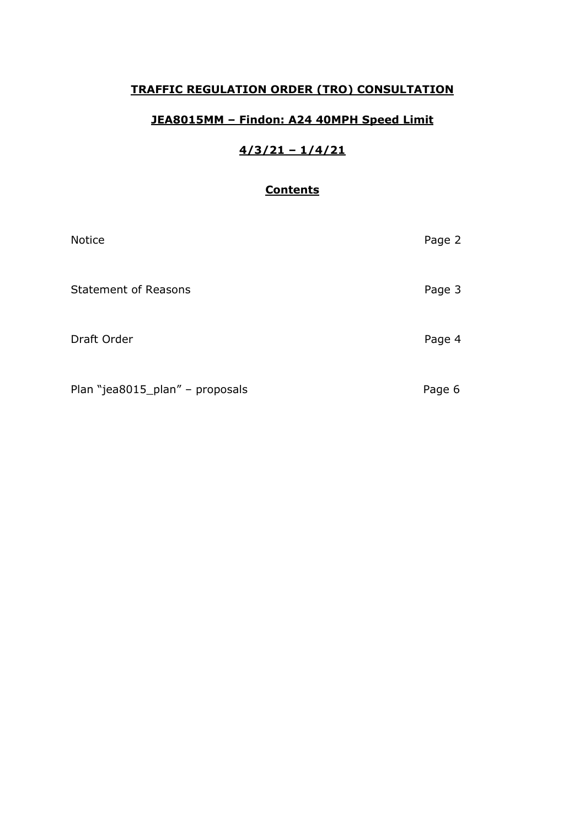# **TRAFFIC REGULATION ORDER (TRO) CONSULTATION**

# **JEA8015MM – Findon: A24 40MPH Speed Limit**

# **4/3/21 – 1/4/21**

# **Contents**

| Notice                          | Page 2 |
|---------------------------------|--------|
| <b>Statement of Reasons</b>     | Page 3 |
| Draft Order                     | Page 4 |
| Plan "jea8015_plan" - proposals | Page 6 |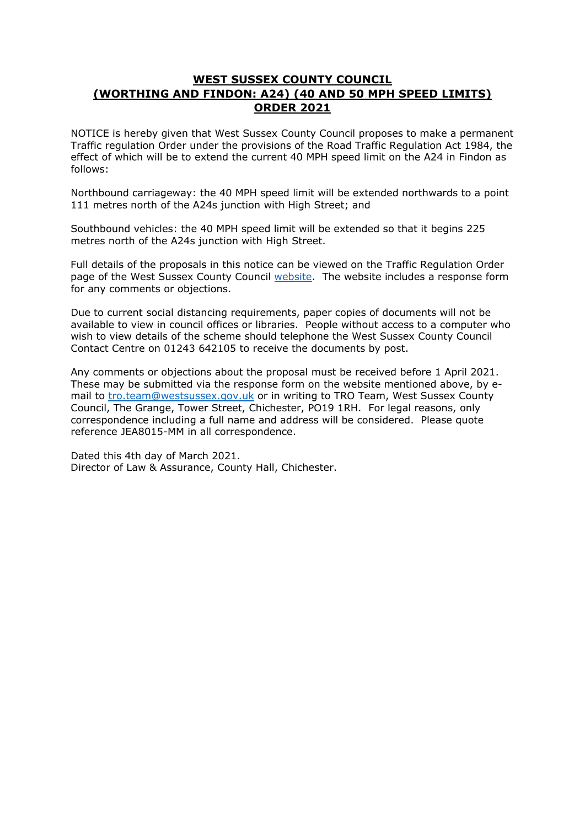## **WEST SUSSEX COUNTY COUNCIL (WORTHING AND FINDON: A24) (40 AND 50 MPH SPEED LIMITS) ORDER 2021**

NOTICE is hereby given that West Sussex County Council proposes to make a permanent Traffic regulation Order under the provisions of the Road Traffic Regulation Act 1984, the effect of which will be to extend the current 40 MPH speed limit on the A24 in Findon as follows:

Northbound carriageway: the 40 MPH speed limit will be extended northwards to a point 111 metres north of the A24s junction with High Street; and

Southbound vehicles: the 40 MPH speed limit will be extended so that it begins 225 metres north of the A24s junction with High Street.

Full details of the proposals in this notice can be viewed on the Traffic Regulation Order page of the West Sussex County Council [website.](https://www.westsussex.gov.uk/roads-and-travel/traffic-regulation-orders/) The website includes a response form for any comments or objections.

Due to current social distancing requirements, paper copies of documents will not be available to view in council offices or libraries. People without access to a computer who wish to view details of the scheme should telephone the West Sussex County Council Contact Centre on 01243 642105 to receive the documents by post.

Any comments or objections about the proposal must be received before 1 April 2021. These may be submitted via the response form on the website mentioned above, by email to [tro.team@westsussex.gov.uk](mailto:tro.team@westsussex.gov.uk) or in writing to TRO Team, West Sussex County Council, The Grange, Tower Street, Chichester, PO19 1RH. For legal reasons, only correspondence including a full name and address will be considered. Please quote reference JEA8015-MM in all correspondence.

Dated this 4th day of March 2021. Director of Law & Assurance, County Hall, Chichester.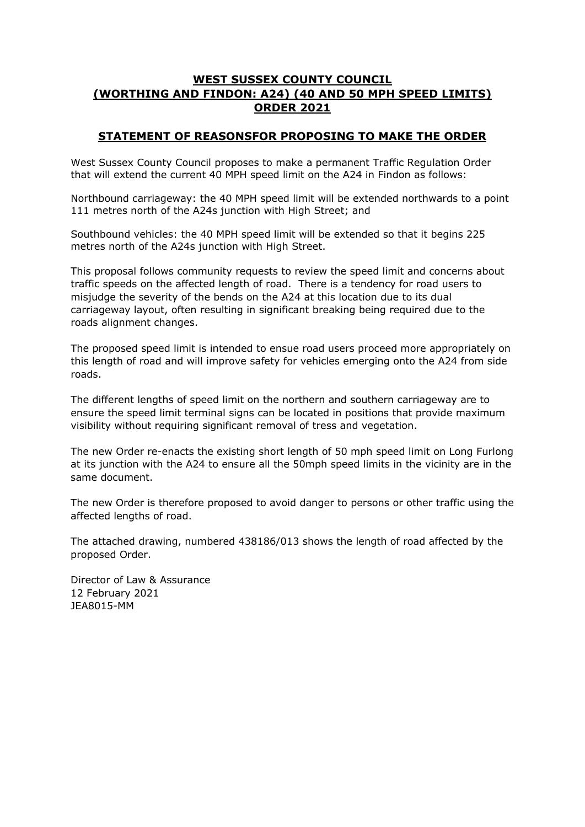## **WEST SUSSEX COUNTY COUNCIL (WORTHING AND FINDON: A24) (40 AND 50 MPH SPEED LIMITS) ORDER 2021**

## **STATEMENT OF REASONSFOR PROPOSING TO MAKE THE ORDER**

West Sussex County Council proposes to make a permanent Traffic Regulation Order that will extend the current 40 MPH speed limit on the A24 in Findon as follows:

Northbound carriageway: the 40 MPH speed limit will be extended northwards to a point 111 metres north of the A24s junction with High Street; and

Southbound vehicles: the 40 MPH speed limit will be extended so that it begins 225 metres north of the A24s junction with High Street.

This proposal follows community requests to review the speed limit and concerns about traffic speeds on the affected length of road. There is a tendency for road users to misjudge the severity of the bends on the A24 at this location due to its dual carriageway layout, often resulting in significant breaking being required due to the roads alignment changes.

The proposed speed limit is intended to ensue road users proceed more appropriately on this length of road and will improve safety for vehicles emerging onto the A24 from side roads.

The different lengths of speed limit on the northern and southern carriageway are to ensure the speed limit terminal signs can be located in positions that provide maximum visibility without requiring significant removal of tress and vegetation.

The new Order re-enacts the existing short length of 50 mph speed limit on Long Furlong at its junction with the A24 to ensure all the 50mph speed limits in the vicinity are in the same document.

The new Order is therefore proposed to avoid danger to persons or other traffic using the affected lengths of road.

The attached drawing, numbered 438186/013 shows the length of road affected by the proposed Order.

Director of Law & Assurance 12 February 2021 JEA8015-MM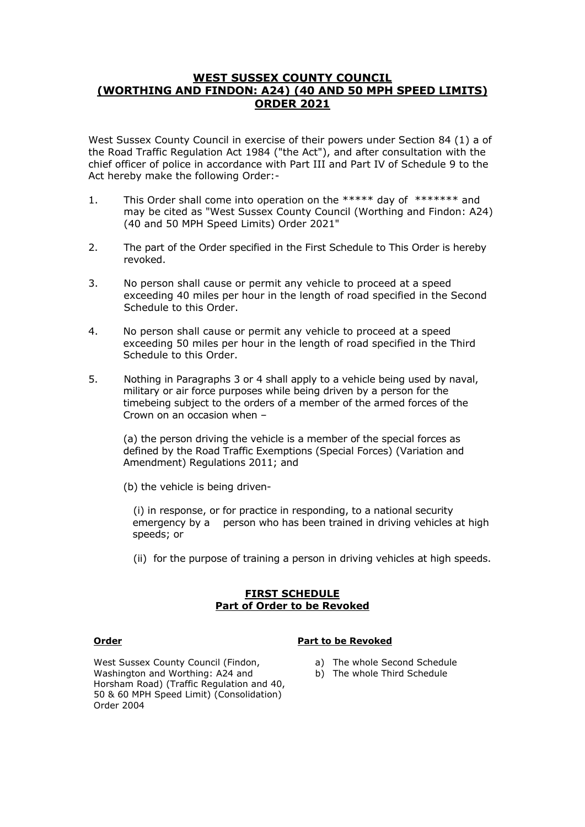### **WEST SUSSEX COUNTY COUNCIL (WORTHING AND FINDON: A24) (40 AND 50 MPH SPEED LIMITS) ORDER 2021**

West Sussex County Council in exercise of their powers under Section 84 (1) a of the Road Traffic Regulation Act 1984 ("the Act"), and after consultation with the chief officer of police in accordance with Part III and Part IV of Schedule 9 to the Act hereby make the following Order:-

- 1. This Order shall come into operation on the \*\*\*\*\* day of \*\*\*\*\*\*\* and may be cited as "West Sussex County Council (Worthing and Findon: A24) (40 and 50 MPH Speed Limits) Order 2021"
- 2. The part of the Order specified in the First Schedule to This Order is hereby revoked.
- 3. No person shall cause or permit any vehicle to proceed at a speed exceeding 40 miles per hour in the length of road specified in the Second Schedule to this Order.
- 4. No person shall cause or permit any vehicle to proceed at a speed exceeding 50 miles per hour in the length of road specified in the Third Schedule to this Order.
- 5. Nothing in Paragraphs 3 or 4 shall apply to a vehicle being used by naval, military or air force purposes while being driven by a person for the timebeing subject to the orders of a member of the armed forces of the Crown on an occasion when –

(a) the person driving the vehicle is a member of the special forces as defined by the Road Traffic Exemptions (Special Forces) (Variation and Amendment) Regulations 2011; and

(b) the vehicle is being driven-

 (i) in response, or for practice in responding, to a national security emergency by a person who has been trained in driving vehicles at high speeds; or

(ii) for the purpose of training a person in driving vehicles at high speeds.

#### **FIRST SCHEDULE Part of Order to be Revoked**

#### **Order Part to be Revoked**

- a) The whole Second Schedule
- b) The whole Third Schedule

West Sussex County Council (Findon, Washington and Worthing: A24 and Horsham Road) (Traffic Regulation and 40, 50 & 60 MPH Speed Limit) (Consolidation) Order 2004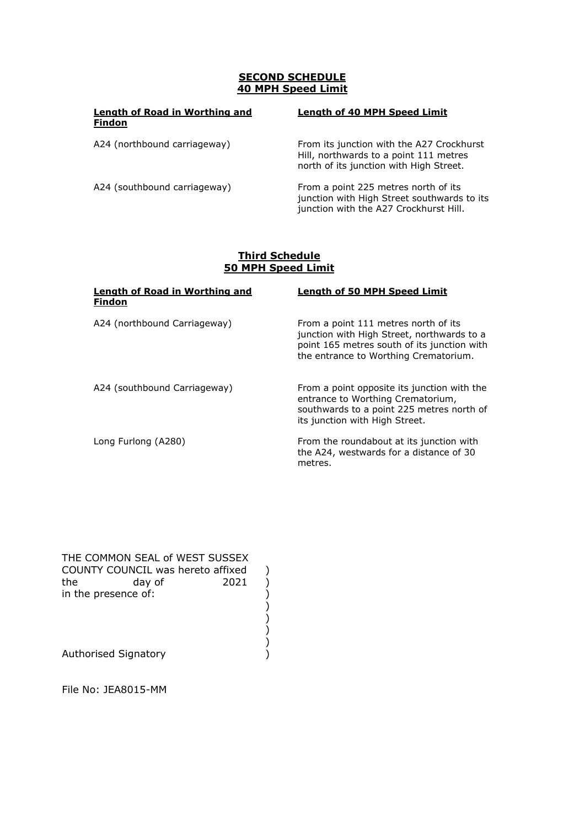### **SECOND SCHEDULE 40 MPH Speed Limit**

| Length of Road in Worthing and<br><b>Findon</b> | <b>Length of 40 MPH Speed Limit</b>                                                                                            |
|-------------------------------------------------|--------------------------------------------------------------------------------------------------------------------------------|
| A24 (northbound carriageway)                    | From its junction with the A27 Crockhurst<br>Hill, northwards to a point 111 metres<br>north of its junction with High Street. |
| A24 (southbound carriageway)                    | From a point 225 metres north of its<br>junction with High Street southwards to its<br>junction with the A27 Crockhurst Hill.  |

#### **Third Schedule 50 MPH Speed Limit**

| Length of Road in Worthing and<br><b>Findon</b> | <b>Length of 50 MPH Speed Limit</b>                                                                                                                                        |
|-------------------------------------------------|----------------------------------------------------------------------------------------------------------------------------------------------------------------------------|
| A24 (northbound Carriageway)                    | From a point 111 metres north of its<br>junction with High Street, northwards to a<br>point 165 metres south of its junction with<br>the entrance to Worthing Crematorium. |
| A24 (southbound Carriageway)                    | From a point opposite its junction with the<br>entrance to Worthing Crematorium,<br>southwards to a point 225 metres north of<br>its junction with High Street.            |
| Long Furlong (A280)                             | From the roundabout at its junction with<br>the A24, westwards for a distance of 30<br>metres.                                                                             |

THE COMMON SEAL of WEST SUSSEX the day of 2021 )<br>
in the presence of:<br>
()<br>
()<br>
Authorised Signatory<br>
() ) ) Authorised Signatory ) COUNTY COUNCIL was hereto affixed ) in the presence of:  $)$ )

File No: JEA8015-MM